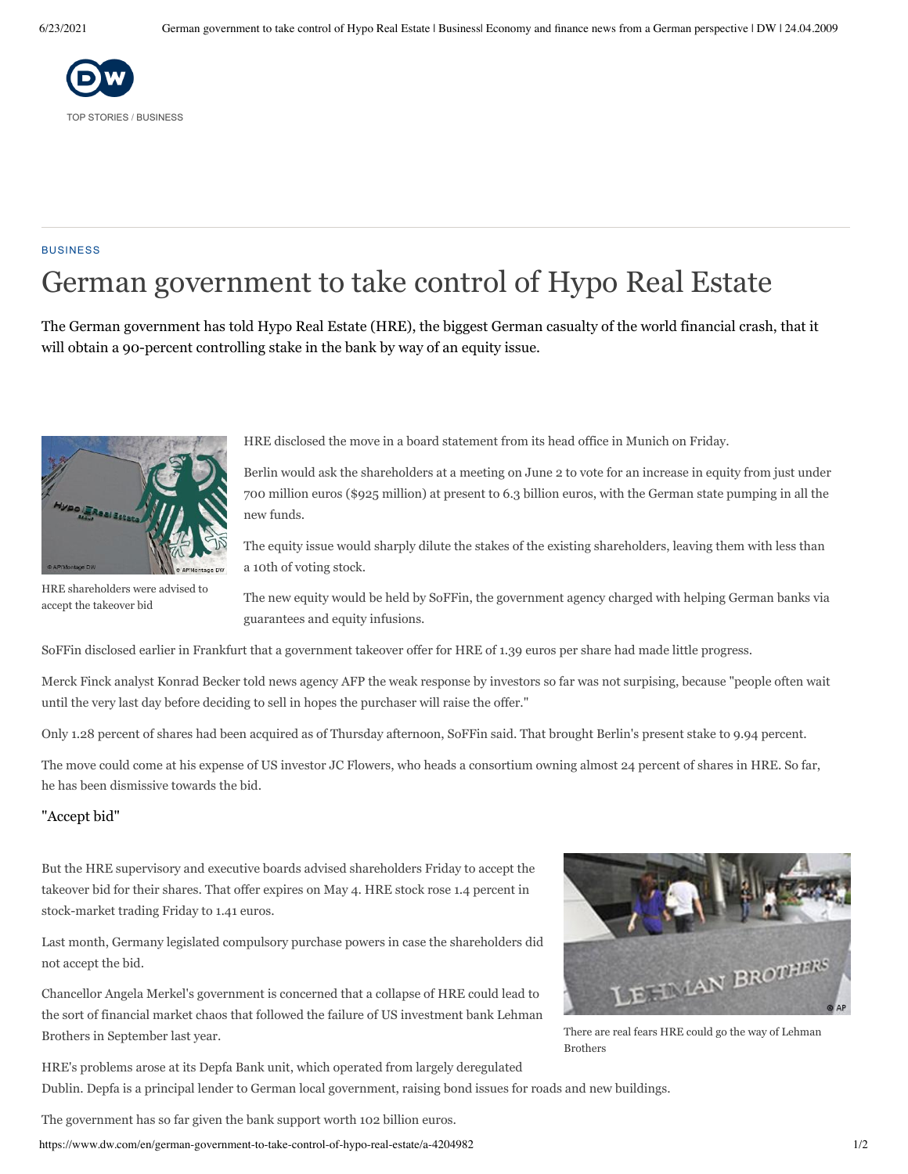

#### **BUSINESS**

# German government to take control of Hypo Real Estate

The German government has told Hypo Real Estate (HRE), the biggest German casualty of the world financial crash, that it will obtain a 90-percent controlling stake in the bank by way of an equity issue.



HRE shareholders were advised to

accept the takeover bid

HRE disclosed the move in a board statement from its head office in Munich on Friday.

Berlin would ask the shareholders at a meeting on June 2 to vote for an increase in equity from just under 700 million euros (\$925 million) at present to 6.3 billion euros, with the German state pumping in all the new funds.

The equity issue would sharply dilute the stakes of the existing shareholders, leaving them with less than a 10th of voting stock.

The new equity would be held by SoFFin, the government agency charged with helping German banks via guarantees and equity infusions.

SoFFin disclosed earlier in Frankfurt that a government takeover offer for HRE of 1.39 euros per share had made little progress.

Merck Finck analyst Konrad Becker told news agency AFP the weak response by investors so far was not surpising, because "people often wait until the very last day before deciding to sell in hopes the purchaser will raise the offer."

Only 1.28 percent of shares had been acquired as of Thursday afternoon, SoFFin said. That brought Berlin's present stake to 9.94 percent.

The move could come at his expense of US investor JC Flowers, who heads a consortium owning almost 24 percent of shares in HRE. So far, he has been dismissive towards the bid.

### "Accept bid"

But the HRE supervisory and executive boards advised shareholders Friday to accept the takeover bid for their shares. That offer expires on May 4. HRE stock rose 1.4 percent in stock-market trading Friday to 1.41 euros.

Last month, Germany legislated compulsory purchase powers in case the shareholders did not accept the bid.

Chancellor Angela Merkel's government is concerned that a collapse of HRE could lead to the sort of financial market chaos that followed the failure of US investment bank Lehman Brothers in September last year.



There are real fears HRE could go the way of Lehman Brothers

HRE's problems arose at its Depfa Bank unit, which operated from largely deregulated Dublin. Depfa is a principal lender to German local government, raising bond issues for roads and new buildings.

The government has so far given the bank support worth 102 billion euros.

https://www.dw.com/en/german-government-to-take-control-of-hypo-real-estate/a-4204982 1/2